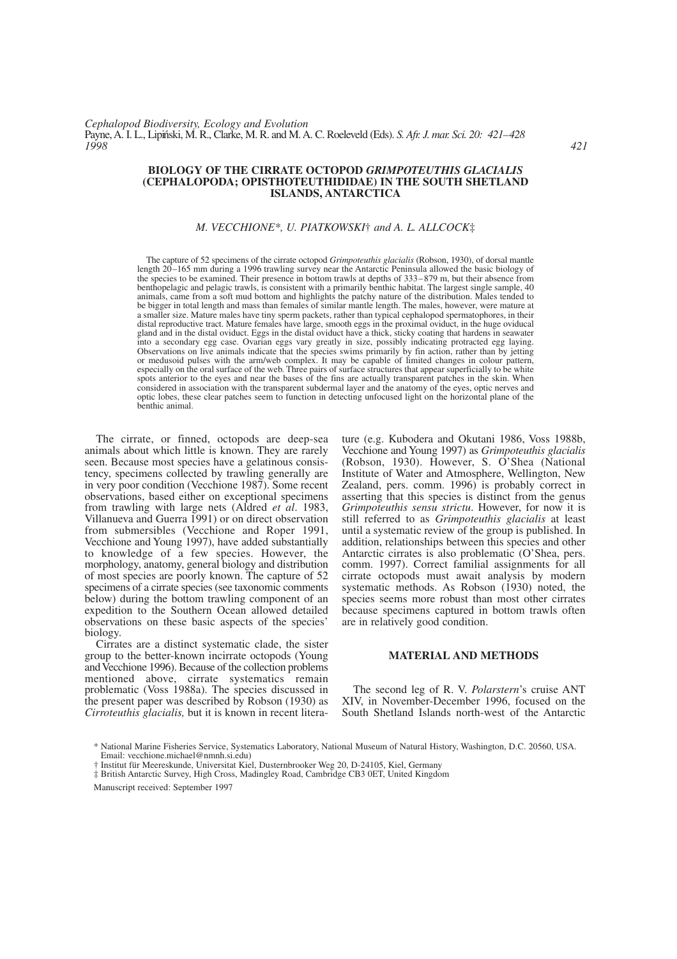## **BIOLOGY OF THE CIRRATE OCTOPOD** *GRIMPOTEUTHIS GLACIALIS* **(CEPHALOPODA; OPISTHOTEUTHIDIDAE) IN THE SOUTH SHETLAND ISLANDS, ANTARCTICA**

# *M. VECCHIONE\*, U. PIATKOWSKI*† *and A. L. ALLCOCK*‡

The capture of 52 specimens of the cirrate octopod *Grimpoteuthis glacialis* (Robson, 1930), of dorsal mantle length 20–165 mm during a 1996 trawling survey near the Antarctic Peninsula allowed the basic biology of the species to be examined. Their presence in bottom trawls at depths of 333–879 m, but their absence from benthopelagic and pelagic trawls, is consistent with a primarily benthic habitat. The largest single sample, 40 animals, came from a soft mud bottom and highlights the patchy nature of the distribution. Males tended to be bigger in total length and mass than females of similar mantle length. The males, however, were mature at a smaller size. Mature males have tiny sperm packets, rather than typical cephalopod spermatophores, in their distal reproductive tract. Mature females have large, smooth eggs in the proximal oviduct, in the huge oviducal gland and in the distal oviduct. Eggs in the distal oviduct have a thick, sticky coating that hardens in seawater into a secondary egg case. Ovarian eggs vary greatly in size, possibly indicating protracted egg laying. Observations on live animals indicate that the species swims primarily by fin action, rather than by jetting or medusoid pulses with the arm/web complex. It may be capable of limited changes in colour pattern, especially on the oral surface of the web. Three pairs of surface structures that appear superficially to be white spots anterior to the eyes and near the bases of the fins are actually transparent patches in the skin. When considered in association with the transparent subdermal layer and the anatomy of the eyes, optic nerves and optic lobes, these clear patches seem to function in detecting unfocused light on the horizontal plane of the benthic animal.

The cirrate, or finned, octopods are deep-sea animals about which little is known. They are rarely seen. Because most species have a gelatinous consistency, specimens collected by trawling generally are in very poor condition (Vecchione 1987). Some recent observations, based either on exceptional specimens from trawling with large nets (Aldred *et al*. 1983, Villanueva and Guerra 1991) or on direct observation from submersibles (Vecchione and Roper 1991, Vecchione and Young 1997), have added substantially to knowledge of a few species. However, the morphology, anatomy, general biology and distribution of most species are poorly known. The capture of 52 specimens of a cirrate species (see taxonomic comments below) during the bottom trawling component of an expedition to the Southern Ocean allowed detailed observations on these basic aspects of the species' biology.

Cirrates are a distinct systematic clade, the sister group to the better-known incirrate octopods (Young and Vecchione 1996). Because of the collection problems mentioned above, cirrate systematics remain problematic (Voss 1988a). The species discussed in the present paper was described by Robson (1930) as *Cirroteuthis glacialis,* but it is known in recent literature (e.g. Kubodera and Okutani 1986, Voss 1988b, Vecchione and Young 1997) as *Grimpoteuthis glacialis* (Robson, 1930). However, S. O'Shea (National Institute of Water and Atmosphere, Wellington, New Zealand, pers. comm. 1996) is probably correct in asserting that this species is distinct from the genus *Grimpoteuthis sensu strictu*. However, for now it is still referred to as *Grimpoteuthis glacialis* at least until a systematic review of the group is published. In addition, relationships between this species and other Antarctic cirrates is also problematic (O'Shea, pers. comm. 1997). Correct familial assignments for all cirrate octopods must await analysis by modern systematic methods. As Robson (1930) noted, the species seems more robust than most other cirrates because specimens captured in bottom trawls often are in relatively good condition.

# **MATERIAL AND METHODS**

The second leg of R. V. *Polarstern*'s cruise ANT XIV, in November-December 1996, focused on the South Shetland Islands north-west of the Antarctic

Manuscript received: September 1997

<sup>\*</sup> National Marine Fisheries Service, Systematics Laboratory, National Museum of Natural History, Washington, D.C. 20560, USA. Email: vecchione.michael@nmnh.si.edu)

<sup>†</sup> Institut für Meereskunde, Universitat Kiel, Dusternbrooker Weg 20, D-24105, Kiel, Germany

<sup>‡</sup> British Antarctic Survey, High Cross, Madingley Road, Cambridge CB3 0ET, United Kingdom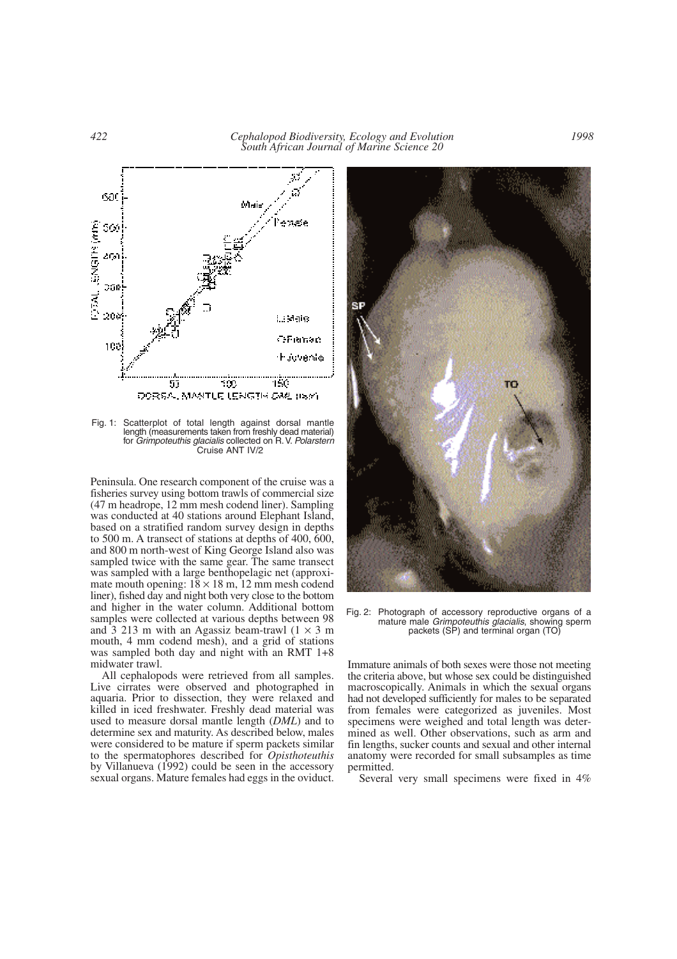### *422 Cephalopod Biodiversity, Ecology and Evolution South African Journal of Marine Science 20*



Fig. 1: Scatterplot of total length against dorsal mantle length (measurements taken from freshly dead material) for *Grimpoteuthis glacialis* collected on R.V. *Polarstern* Cruise ANT IV/2

Peninsula. One research component of the cruise was a fisheries survey using bottom trawls of commercial size (47 m headrope, 12 mm mesh codend liner). Sampling was conducted at 40 stations around Elephant Island, based on a stratified random survey design in depths to 500 m. A transect of stations at depths of 400, 600, and 800 m north-west of King George Island also was sampled twice with the same gear. The same transect was sampled with a large benthopelagic net (approximate mouth opening:  $18 \times 18$  m, 12 mm mesh codend liner), fished day and night both very close to the bottom and higher in the water column. Additional bottom samples were collected at various depths between 98 and 3 213 m with an Agassiz beam-trawl  $(1 \times 3$  m mouth, 4 mm codend mesh), and a grid of stations was sampled both day and night with an RMT 1+8 midwater trawl.

All cephalopods were retrieved from all samples. Live cirrates were observed and photographed in aquaria. Prior to dissection, they were relaxed and killed in iced freshwater. Freshly dead material was used to measure dorsal mantle length (*DML*) and to determine sex and maturity. As described below, males were considered to be mature if sperm packets similar to the spermatophores described for *Opisthoteuthis* by Villanueva (1992) could be seen in the accessory sexual organs. Mature females had eggs in the oviduct.



Fig. 2: Photograph of accessory reproductive organs of a mature male *Grimpoteuthis glacialis*, showing sperm packets (SP) and terminal organ (TO)

Immature animals of both sexes were those not meeting the criteria above, but whose sex could be distinguished macroscopically. Animals in which the sexual organs had not developed sufficiently for males to be separated from females were categorized as juveniles. Most specimens were weighed and total length was determined as well. Other observations, such as arm and fin lengths, sucker counts and sexual and other internal anatomy were recorded for small subsamples as time permitted.

Several very small specimens were fixed in 4%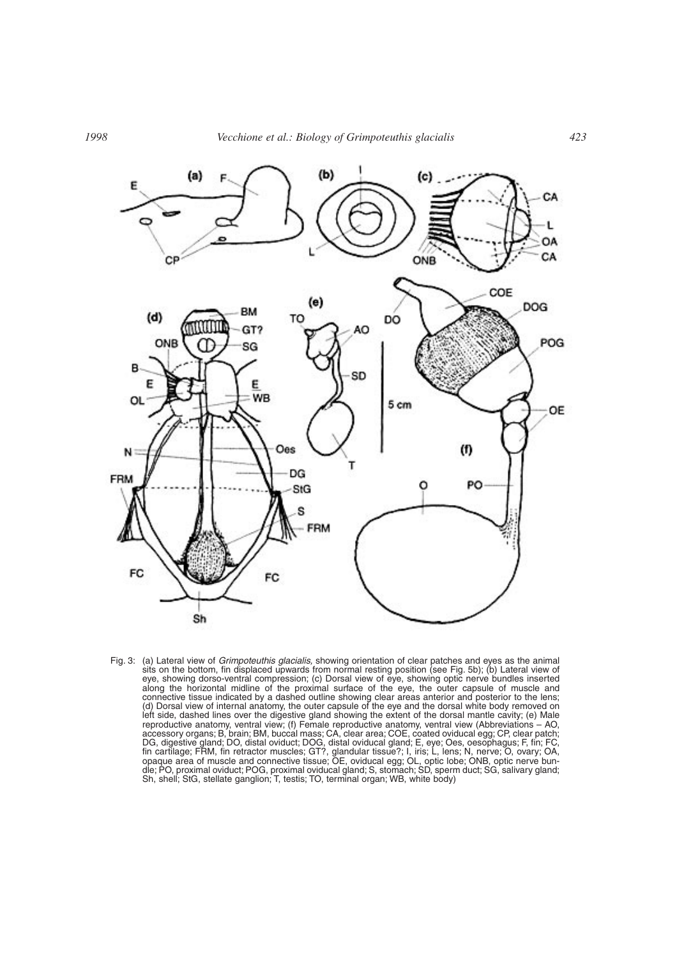

Fig. 3: (a) Lateral view of *Grimpoteuthis glacialis,* showing orientation of clear patches and eyes as the animal sits on the bottom, fin displaced upwards from normal resting position (see Fig. 5b); (b) Lateral view of eye, showing dorso-ventral compression; (c) Dorsal view of eye, showing optic nerve bundles inserted along the horizontal midline of the proximal surface of the eye, the outer capsule of muscle and connective tissue indicated by a dashed outline showing clear areas anterior and posterior to the lens; (d) Dorsal view of internal anatomy, the outer capsule of the eye and the dorsal white body removed on left side, dashed lines over the digestive gland showing the extent of the dorsal mantle cavity; (e) Male reproductive anatomy, ventral view; (f) Female reproductive anatomy, ventral view (Abbreviations – AO, accessory organs; B, brain; BM, buccal mass; CA, clear area; COE, coated oviducal egg; CP, clear patch; DG, digestive gland; DO, distal oviduct; DOG, distal oviducal gland; E, eye; Oes, oesophagus; F, fin; FC, fin cartilage; FRM, fin retractor muscles; GT?, glandular tissue?; I, iris; L, lens; N, nerve; O, ovary; OA, opaque area of muscle and connective tissue; OE, oviducal egg; OL, optic lobe; ONB, optic nerve bundle; PO, proximal oviduct; POG, proximal oviducal gland; S, stomach; SD, sperm duct; SG, salivary gland; Sh, shell; StG, stellate ganglion; T, testis; TO, terminal organ; WB, white body)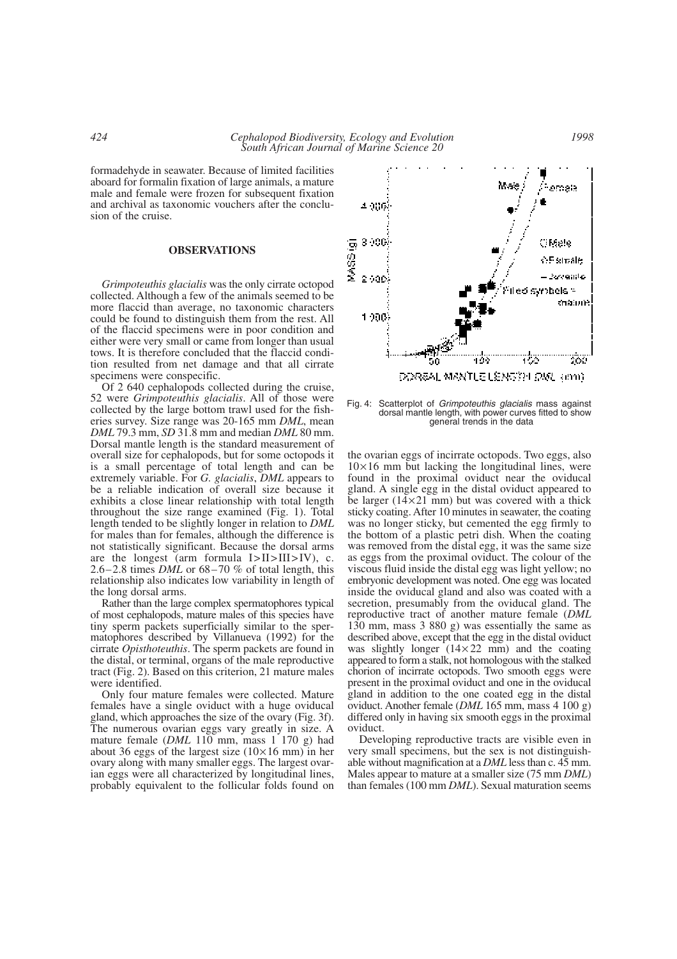formadehyde in seawater. Because of limited facilities aboard for formalin fixation of large animals, a mature male and female were frozen for subsequent fixation and archival as taxonomic vouchers after the conclusion of the cruise.

## **OBSERVATIONS**

*Grimpoteuthis glacialis* was the only cirrate octopod collected. Although a few of the animals seemed to be more flaccid than average, no taxonomic characters could be found to distinguish them from the rest. All of the flaccid specimens were in poor condition and either were very small or came from longer than usual tows. It is therefore concluded that the flaccid condition resulted from net damage and that all cirrate specimens were conspecific.

Of 2 640 cephalopods collected during the cruise, 52 were *Grimpoteuthis glacialis*. All of those were collected by the large bottom trawl used for the fisheries survey. Size range was 20-165 mm *DML*, mean *DML* 79.3 mm, *SD* 31.8 mm and median *DML* 80 mm. Dorsal mantle length is the standard measurement of overall size for cephalopods, but for some octopods it is a small percentage of total length and can be extremely variable. For *G. glacialis*, *DML* appears to be a reliable indication of overall size because it exhibits a close linear relationship with total length throughout the size range examined (Fig. 1). Total length tended to be slightly longer in relation to *DML* for males than for females, although the difference is not statistically significant. Because the dorsal arms are the longest (arm formula  $I > II > III > IV$ ), c. 2.6–2.8 times *DML* or 68–70 % of total length, this relationship also indicates low variability in length of the long dorsal arms.

Rather than the large complex spermatophores typical of most cephalopods, mature males of this species have tiny sperm packets superficially similar to the spermatophores described by Villanueva (1992) for the cirrate *Opisthoteuthis*. The sperm packets are found in the distal, or terminal, organs of the male reproductive tract (Fig. 2). Based on this criterion, 21 mature males were identified.

Only four mature females were collected. Mature females have a single oviduct with a huge oviducal gland, which approaches the size of the ovary (Fig. 3f). The numerous ovarian eggs vary greatly in size. A mature female (*DML* 110 mm, mass 1 170 g) had about 36 eggs of the largest size  $(10\times16$  mm) in her ovary along with many smaller eggs. The largest ovarian eggs were all characterized by longitudinal lines, probably equivalent to the follicular folds found on



Fig. 4: Scatterplot of *Grimpoteuthis glacialis* mass against dorsal mantle length, with power curves fitted to show general trends in the data

the ovarian eggs of incirrate octopods. Two eggs, also  $10\times16$  mm but lacking the longitudinal lines, were found in the proximal oviduct near the oviducal gland. A single egg in the distal oviduct appeared to be larger  $(14\times21 \text{ mm})$  but was covered with a thick sticky coating. After 10 minutes in seawater, the coating was no longer sticky, but cemented the egg firmly to the bottom of a plastic petri dish. When the coating was removed from the distal egg, it was the same size as eggs from the proximal oviduct. The colour of the viscous fluid inside the distal egg was light yellow; no embryonic development was noted. One egg was located inside the oviducal gland and also was coated with a secretion, presumably from the oviducal gland. The reproductive tract of another mature female (*DML* 130 mm, mass 3 880 g) was essentially the same as described above, except that the egg in the distal oviduct was slightly longer  $(14 \times 22 \text{ mm})$  and the coating appeared to form a stalk, not homologous with the stalked chorion of incirrate octopods. Two smooth eggs were present in the proximal oviduct and one in the oviducal gland in addition to the one coated egg in the distal oviduct. Another female (*DML* 165 mm, mass 4 100 g) differed only in having six smooth eggs in the proximal oviduct.

Developing reproductive tracts are visible even in very small specimens, but the sex is not distinguishable without magnification at a *DML* less than c. 45 mm. Males appear to mature at a smaller size (75 mm *DML*) than females (100 mm *DML*). Sexual maturation seems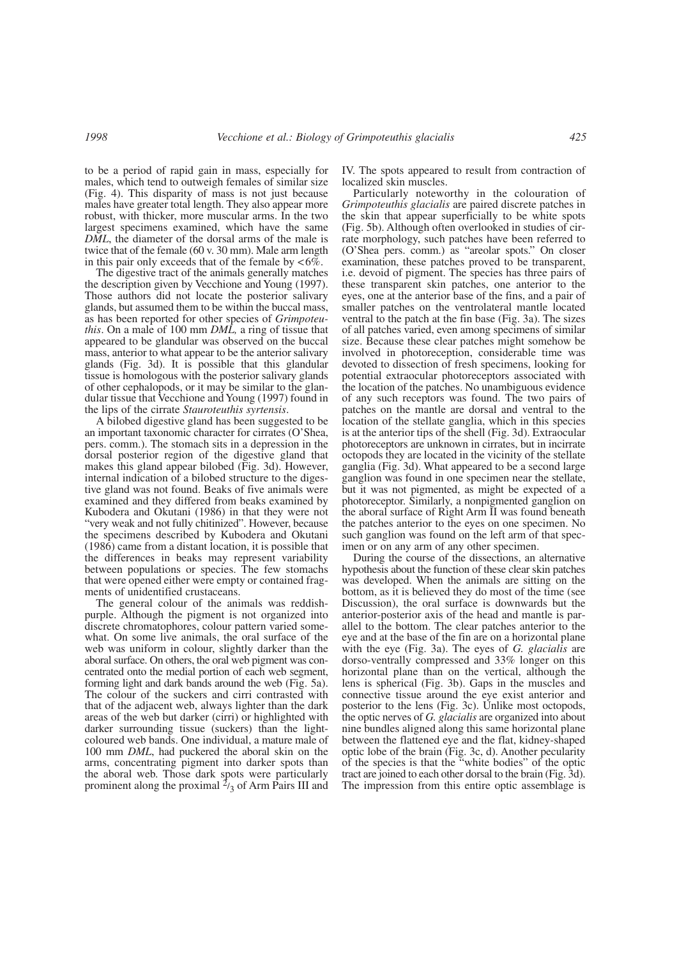to be a period of rapid gain in mass, especially for males, which tend to outweigh females of similar size (Fig. 4). This disparity of mass is not just because males have greater total length. They also appear more robust, with thicker, more muscular arms. In the two largest specimens examined, which have the same *DML*, the diameter of the dorsal arms of the male is twice that of the female (60 v. 30 mm). Male arm length in this pair only exceeds that of the female by  $<6\%$ .

The digestive tract of the animals generally matches the description given by Vecchione and Young (1997). Those authors did not locate the posterior salivary glands, but assumed them to be within the buccal mass, as has been reported for other species of *Grimpoteuthis*. On a male of 100 mm *DML,* a ring of tissue that appeared to be glandular was observed on the buccal mass, anterior to what appear to be the anterior salivary glands (Fig. 3d). It is possible that this glandular tissue is homologous with the posterior salivary glands of other cephalopods, or it may be similar to the glandular tissue that Vecchione and Young (1997) found in the lips of the cirrate *Stauroteuthis syrtensis*.

A bilobed digestive gland has been suggested to be an important taxonomic character for cirrates (O'Shea, pers. comm.). The stomach sits in a depression in the dorsal posterior region of the digestive gland that makes this gland appear bilobed (Fig. 3d). However, internal indication of a bilobed structure to the digestive gland was not found. Beaks of five animals were examined and they differed from beaks examined by Kubodera and Okutani (1986) in that they were not "very weak and not fully chitinized". However, because the specimens described by Kubodera and Okutani (1986) came from a distant location, it is possible that the differences in beaks may represent variability between populations or species. The few stomachs that were opened either were empty or contained fragments of unidentified crustaceans.

The general colour of the animals was reddishpurple. Although the pigment is not organized into discrete chromatophores, colour pattern varied somewhat. On some live animals, the oral surface of the web was uniform in colour, slightly darker than the aboral surface. On others, the oral web pigment was concentrated onto the medial portion of each web segment, forming light and dark bands around the web (Fig. 5a). The colour of the suckers and cirri contrasted with that of the adjacent web, always lighter than the dark areas of the web but darker (cirri) or highlighted with darker surrounding tissue (suckers) than the lightcoloured web bands. One individual, a mature male of 100 mm *DML*, had puckered the aboral skin on the arms, concentrating pigment into darker spots than the aboral web. Those dark spots were particularly prominent along the proximal  $2/3$  of Arm Pairs III and

IV. The spots appeared to result from contraction of localized skin muscles.

Particularly noteworthy in the colouration of *Grimpoteuthis glacialis* are paired discrete patches in the skin that appear superficially to be white spots (Fig. 5b). Although often overlooked in studies of cirrate morphology, such patches have been referred to (O'Shea pers. comm.) as "areolar spots." On closer examination, these patches proved to be transparent, i.e. devoid of pigment. The species has three pairs of these transparent skin patches, one anterior to the eyes, one at the anterior base of the fins, and a pair of smaller patches on the ventrolateral mantle located ventral to the patch at the fin base (Fig. 3a). The sizes of all patches varied, even among specimens of similar size. Because these clear patches might somehow be involved in photoreception, considerable time was devoted to dissection of fresh specimens, looking for potential extraocular photoreceptors associated with the location of the patches. No unambiguous evidence of any such receptors was found. The two pairs of patches on the mantle are dorsal and ventral to the location of the stellate ganglia, which in this species is at the anterior tips of the shell (Fig. 3d). Extraocular photoreceptors are unknown in cirrates, but in incirrate octopods they are located in the vicinity of the stellate ganglia (Fig. 3d). What appeared to be a second large ganglion was found in one specimen near the stellate, but it was not pigmented, as might be expected of a photoreceptor. Similarly, a nonpigmented ganglion on the aboral surface of Right Arm II was found beneath the patches anterior to the eyes on one specimen. No such ganglion was found on the left arm of that specimen or on any arm of any other specimen.

During the course of the dissections, an alternative hypothesis about the function of these clear skin patches was developed. When the animals are sitting on the bottom, as it is believed they do most of the time (see Discussion), the oral surface is downwards but the anterior-posterior axis of the head and mantle is parallel to the bottom. The clear patches anterior to the eye and at the base of the fin are on a horizontal plane with the eye (Fig. 3a). The eyes of *G. glacialis* are dorso-ventrally compressed and 33% longer on this horizontal plane than on the vertical, although the lens is spherical (Fig. 3b). Gaps in the muscles and connective tissue around the eye exist anterior and posterior to the lens (Fig. 3c). Unlike most octopods, the optic nerves of *G. glacialis* are organized into about nine bundles aligned along this same horizontal plane between the flattened eye and the flat, kidney-shaped optic lobe of the brain (Fig. 3c, d). Another pecularity of the species is that the "white bodies" of the optic tract are joined to each other dorsal to the brain (Fig. 3d). The impression from this entire optic assemblage is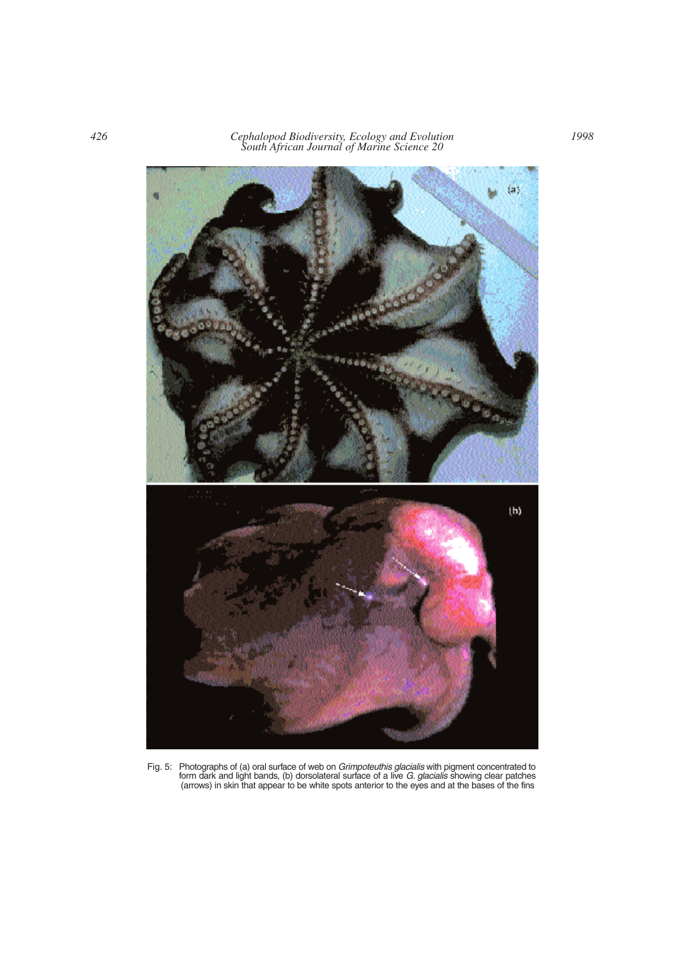

Fig. 5: Photographs of (a) oral surface of web on *Grimpoteuthis glacialis* with pigment concentrated to form dark and light bands, (b) dorsolateral surface of a live *G. glacialis* showing clear patches (arrows) in skin that appear to be white spots anterior to the eyes and at the bases of the fins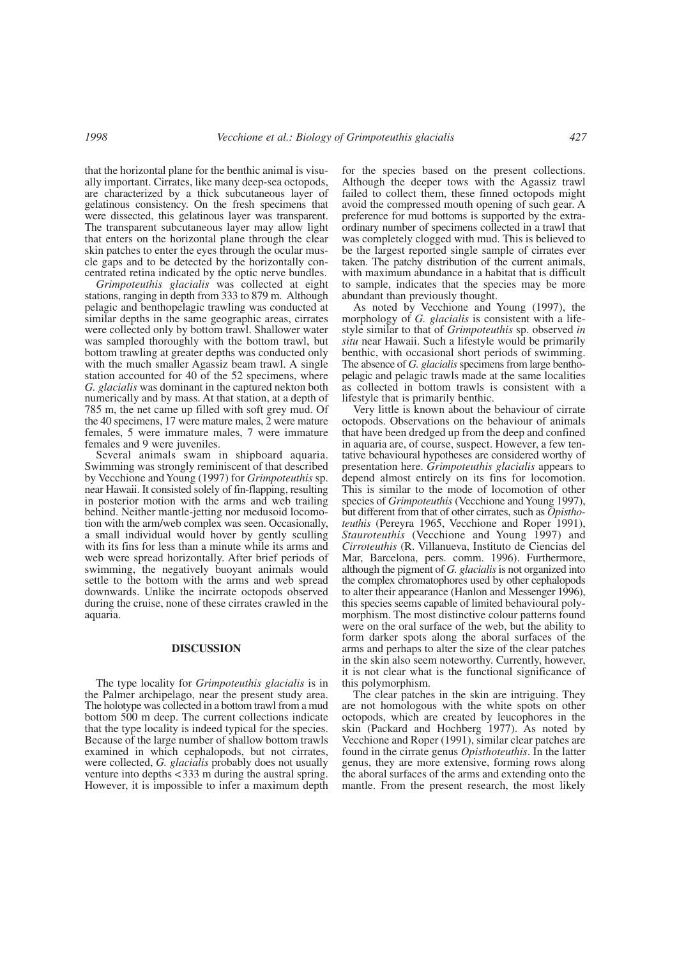that the horizontal plane for the benthic animal is visually important. Cirrates, like many deep-sea octopods, are characterized by a thick subcutaneous layer of gelatinous consistency. On the fresh specimens that were dissected, this gelatinous layer was transparent. The transparent subcutaneous layer may allow light that enters on the horizontal plane through the clear skin patches to enter the eyes through the ocular muscle gaps and to be detected by the horizontally concentrated retina indicated by the optic nerve bundles.

*Grimpoteuthis glacialis* was collected at eight stations, ranging in depth from 333 to 879 m. Although pelagic and benthopelagic trawling was conducted at similar depths in the same geographic areas, cirrates were collected only by bottom trawl. Shallower water was sampled thoroughly with the bottom trawl, but bottom trawling at greater depths was conducted only with the much smaller Agassiz beam trawl. A single station accounted for 40 of the 52 specimens, where *G. glacialis* was dominant in the captured nekton both numerically and by mass. At that station, at a depth of 785 m, the net came up filled with soft grey mud. Of the 40 specimens, 17 were mature males, 2 were mature females, 5 were immature males, 7 were immature females and 9 were juveniles.

Several animals swam in shipboard aquaria. Swimming was strongly reminiscent of that described by Vecchione and Young (1997) for *Grimpoteuthis* sp. near Hawaii. It consisted solely of fin-flapping, resulting in posterior motion with the arms and web trailing behind. Neither mantle-jetting nor medusoid locomotion with the arm/web complex was seen. Occasionally, a small individual would hover by gently sculling with its fins for less than a minute while its arms and web were spread horizontally. After brief periods of swimming, the negatively buoyant animals would settle to the bottom with the arms and web spread downwards. Unlike the incirrate octopods observed during the cruise, none of these cirrates crawled in the aquaria.

# **DISCUSSION**

The type locality for *Grimpoteuthis glacialis* is in the Palmer archipelago, near the present study area. The holotype was collected in a bottom trawl from a mud bottom 500 m deep. The current collections indicate that the type locality is indeed typical for the species. Because of the large number of shallow bottom trawls examined in which cephalopods, but not cirrates, were collected, *G. glacialis* probably does not usually venture into depths <333 m during the austral spring. However, it is impossible to infer a maximum depth for the species based on the present collections. Although the deeper tows with the Agassiz trawl failed to collect them, these finned octopods might avoid the compressed mouth opening of such gear. A preference for mud bottoms is supported by the extraordinary number of specimens collected in a trawl that was completely clogged with mud. This is believed to be the largest reported single sample of cirrates ever taken. The patchy distribution of the current animals, with maximum abundance in a habitat that is difficult to sample, indicates that the species may be more abundant than previously thought.

As noted by Vecchione and Young (1997), the morphology of *G. glacialis* is consistent with a lifestyle similar to that of *Grimpoteuthis* sp. observed *in situ* near Hawaii. Such a lifestyle would be primarily benthic, with occasional short periods of swimming. The absence of *G. glacialis* specimens from large benthopelagic and pelagic trawls made at the same localities as collected in bottom trawls is consistent with a lifestyle that is primarily benthic.

Very little is known about the behaviour of cirrate octopods. Observations on the behaviour of animals that have been dredged up from the deep and confined in aquaria are, of course, suspect. However, a few tentative behavioural hypotheses are considered worthy of presentation here. *Grimpoteuthis glacialis* appears to depend almost entirely on its fins for locomotion. This is similar to the mode of locomotion of other species of *Grimpoteuthis* (Vecchione and Young 1997), but different from that of other cirrates, such as *Opisthoteuthis* (Pereyra 1965, Vecchione and Roper 1991), *Stauroteuthis* (Vecchione and Young 1997) and *Cirroteuthis* (R. Villanueva, Instituto de Ciencias del Mar, Barcelona, pers. comm. 1996). Furthermore, although the pigment of *G. glacialis*is not organized into the complex chromatophores used by other cephalopods to alter their appearance (Hanlon and Messenger 1996), this species seems capable of limited behavioural polymorphism. The most distinctive colour patterns found were on the oral surface of the web, but the ability to form darker spots along the aboral surfaces of the arms and perhaps to alter the size of the clear patches in the skin also seem noteworthy. Currently, however, it is not clear what is the functional significance of this polymorphism.

The clear patches in the skin are intriguing. They are not homologous with the white spots on other octopods, which are created by leucophores in the skin (Packard and Hochberg 1977). As noted by Vecchione and Roper (1991), similar clear patches are found in the cirrate genus *Opisthoteuthis*. In the latter genus, they are more extensive, forming rows along the aboral surfaces of the arms and extending onto the mantle. From the present research, the most likely